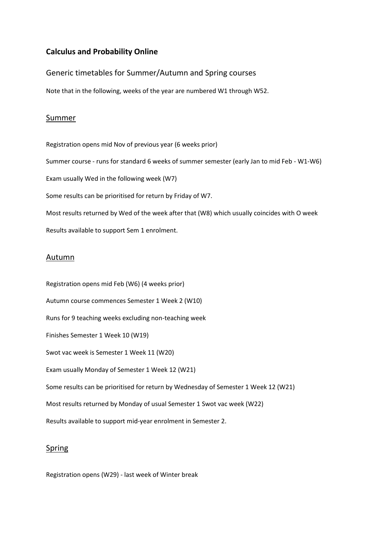# **Calculus and Probability Online**

# Generic timetables for Summer/Autumn and Spring courses

Note that in the following, weeks of the year are numbered W1 through W52.

# Summer

Registration opens mid Nov of previous year (6 weeks prior)

Summer course - runs for standard 6 weeks of summer semester (early Jan to mid Feb - W1-W6)

Exam usually Wed in the following week (W7)

Some results can be prioritised for return by Friday of W7.

Most results returned by Wed of the week after that (W8) which usually coincides with O week Results available to support Sem 1 enrolment.

### Autumn

Registration opens mid Feb (W6) (4 weeks prior) Autumn course commences Semester 1 Week 2 (W10) Runs for 9 teaching weeks excluding non-teaching week Finishes Semester 1 Week 10 (W19) Swot vac week is Semester 1 Week 11 (W20) Exam usually Monday of Semester 1 Week 12 (W21) Some results can be prioritised for return by Wednesday of Semester 1 Week 12 (W21) Most results returned by Monday of usual Semester 1 Swot vac week (W22) Results available to support mid-year enrolment in Semester 2.

# Spring

Registration opens (W29) - last week of Winter break